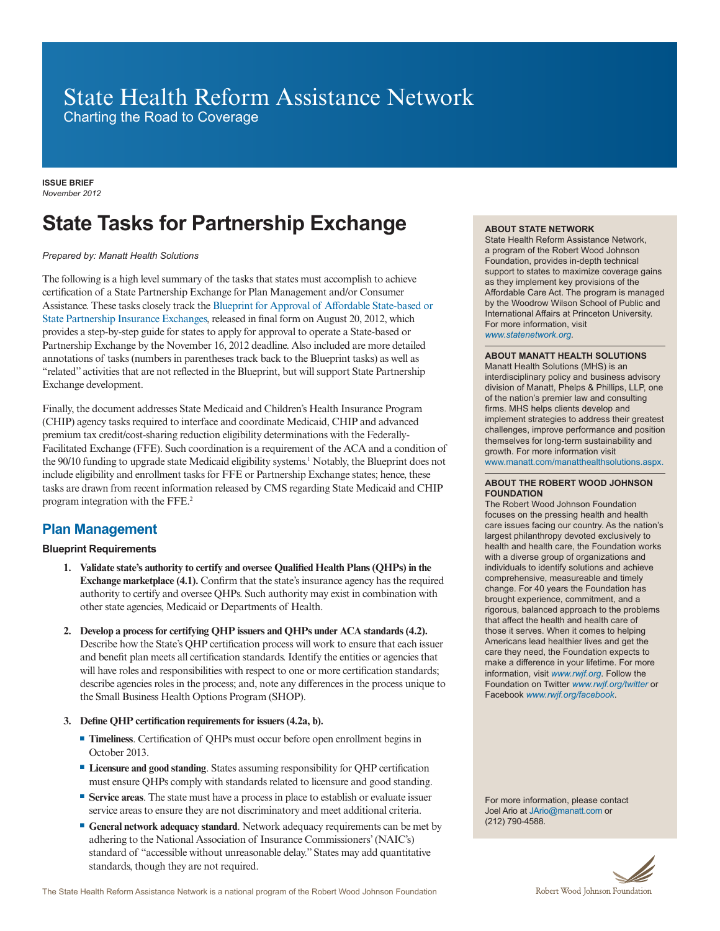# State Health Reform Assistance Network

Charting the Road to Coverage

**ISSUE BRIEF** *November 2012*

# **State Tasks for Partnership Exchange**

## *Prepared by: Manatt Health Solutions*

The following is a high level summary of the tasks that states must accomplish to achieve certification of a State Partnership Exchange for Plan Management and/or Consumer Assistance. These tasks closely track the [Blueprint for Approval of Affordable State-based or](http://cciio.cms.gov/resources/files/hie-blueprint-081312.pdf)  [State Partnership Insurance Exchanges,](http://cciio.cms.gov/resources/files/hie-blueprint-081312.pdf) released in final form on August 20, 2012, which provides a step-by-step guide for states to apply for approval to operate a State-based or Partnership Exchange by the November 16, 2012 deadline. Also included are more detailed annotations of tasks (numbers in parentheses track back to the Blueprint tasks) as well as "related" activities that are not reflected in the Blueprint, but will support State Partnership Exchange development.

Finally, the document addresses State Medicaid and Children's Health Insurance Program (CHIP) agency tasks required to interface and coordinate Medicaid, CHIP and advanced premium tax credit/cost-sharing reduction eligibility determinations with the Federally-Facilitated Exchange (FFE). Such coordination is a requirement of the ACA and a condition of the 90/10 funding to upgrade state Medicaid eligibility systems.1 Notably, the Blueprint does not include eligibility and enrollment tasks for FFE or Partnership Exchange states; hence, these tasks are drawn from recent information released by CMS regarding State Medicaid and CHIP program integration with the FFE.2

# **Plan Management**

## **Blueprint Requirements**

- **1. Validate state's authority to certify and oversee Qualified Health Plans (QHPs) in the Exchange marketplace (4.1).** Confirm that the state's insurance agency has the required authority to certify and oversee QHPs. Such authority may exist in combination with other state agencies, Medicaid or Departments of Health.
- **2. Develop a process for certifying QHP issuers and QHPs under ACA standards (4.2).** Describe how the State's QHP certification process will work to ensure that each issuer and benefit plan meets all certification standards. Identify the entities or agencies that will have roles and responsibilities with respect to one or more certification standards; describe agencies roles in the process; and, note any differences in the process unique to the Small Business Health Options Program (SHOP).
- **3. Define QHP certification requirements for issuers (4.2a, b).**
	- **Timeliness**. Certification of QHPs must occur before open enrollment begins in October 2013.
	- **Licensure and good standing**. States assuming responsibility for QHP certification must ensure QHPs comply with standards related to licensure and good standing.
	- **Service areas**. The state must have a process in place to establish or evaluate issuer service areas to ensure they are not discriminatory and meet additional criteria.
	- **General network adequacy standard**. Network adequacy requirements can be met by adhering to the National Association of Insurance Commissioners' (NAIC's) standard of "accessible without unreasonable delay." States may add quantitative standards, though they are not required.

#### **ABOUT STATE NETWORK**

State Health Reform Assistance Network, a program of the Robert Wood Johnson Foundation, provides in-depth technical support to states to maximize coverage gains as they implement key provisions of the Affordable Care Act. The program is managed by the Woodrow Wilson School of Public and International Affairs at Princeton University. For more information, visit *www.statenetwork.org.*

#### **ABOUT MANATT HEALTH SOLUTIONS**

Manatt Health Solutions (MHS) is an interdisciplinary policy and business advisory division of Manatt, Phelps & Phillips, LLP, one of the nation's premier law and consulting firms. MHS helps clients develop and implement strategies to address their greatest challenges, improve performance and position themselves for long-term sustainability and growth. For more information visit www.manatt.com/manatthealthsolutions.aspx.

#### **ABOUT THE ROBERT WOOD JOHNSON FOUNDATION**

The Robert Wood Johnson Foundation focuses on the pressing health and health care issues facing our country. As the nation's largest philanthropy devoted exclusively to health and health care, the Foundation works with a diverse group of organizations and individuals to identify solutions and achieve comprehensive, measureable and timely change. For 40 years the Foundation has brought experience, commitment, and a rigorous, balanced approach to the problems that affect the health and health care of those it serves. When it comes to helping Americans lead healthier lives and get the care they need, the Foundation expects to make a difference in your lifetime. For more information, visit *www.rwjf.org*. Follow the Foundation on Twitter *www.rwjf.org/twitter* or Facebook *www.rwjf.org/facebook*.

For more information, please contact Joel Ario at JArio@manatt.com or (212) 790-4588.

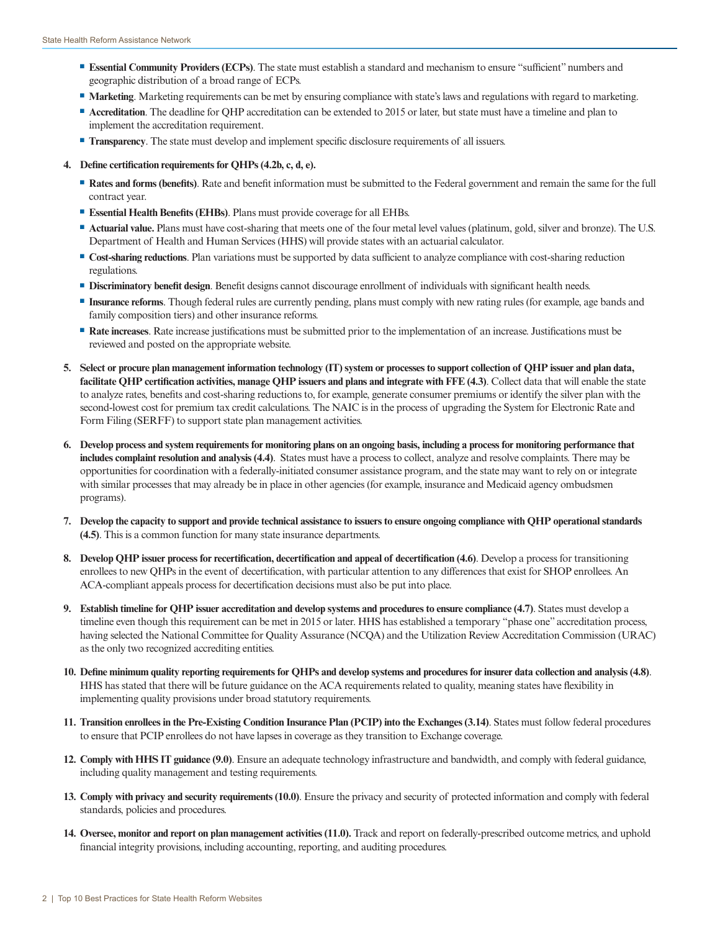- **Essential Community Providers (ECPs)**. The state must establish a standard and mechanism to ensure "sufficient" numbers and geographic distribution of a broad range of ECPs.
- **Marketing**. Marketing requirements can be met by ensuring compliance with state's laws and regulations with regard to marketing.
- **Accreditation**. The deadline for QHP accreditation can be extended to 2015 or later, but state must have a timeline and plan to implement the accreditation requirement.
- **Transparency**. The state must develop and implement specific disclosure requirements of all issuers.
- **4. Define certification requirements for QHPs (4.2b, c, d, e).** 
	- **Rates and forms (benefits)**. Rate and benefit information must be submitted to the Federal government and remain the same for the full contract year.
	- **Essential Health Benefits (EHBs)**. Plans must provide coverage for all EHBs.
	- **Actuarial value.** Plans must have cost-sharing that meets one of the four metal level values (platinum, gold, silver and bronze). The U.S. Department of Health and Human Services (HHS) will provide states with an actuarial calculator.
	- **Cost-sharing reductions**. Plan variations must be supported by data sufficient to analyze compliance with cost-sharing reduction regulations.
	- **Discriminatory benefit design**. Benefit designs cannot discourage enrollment of individuals with significant health needs.
	- ■ **Insurance reforms**. Though federal rules are currently pending, plans must comply with new rating rules (for example, age bands and family composition tiers) and other insurance reforms.
	- **Rate increases**. Rate increase justifications must be submitted prior to the implementation of an increase. Justifications must be reviewed and posted on the appropriate website.
- **5. Select or procure plan management information technology (IT) system or processes to support collection of QHP issuer and plan data, facilitate QHP certification activities, manage QHP issuers and plans and integrate with FFE (4.3)**. Collect data that will enable the state to analyze rates, benefits and cost-sharing reductions to, for example, generate consumer premiums or identify the silver plan with the second-lowest cost for premium tax credit calculations. The NAIC is in the process of upgrading the System for Electronic Rate and Form Filing (SERFF) to support state plan management activities.
- **6. Develop process and system requirements for monitoring plans on an ongoing basis, including a process for monitoring performance that includes complaint resolution and analysis (4.4)**. States must have a process to collect, analyze and resolve complaints. There may be opportunities for coordination with a federally-initiated consumer assistance program, and the state may want to rely on or integrate with similar processes that may already be in place in other agencies (for example, insurance and Medicaid agency ombudsmen programs).
- **7. Develop the capacity to support and provide technical assistance to issuers to ensure ongoing compliance with QHP operational standards (4.5)**. This is a common function for many state insurance departments.
- **8. Develop QHP issuer process for recertification, decertification and appeal of decertification (4.6)**. Develop a process for transitioning enrollees to new QHPs in the event of decertification, with particular attention to any differences that exist for SHOP enrollees. An ACA-compliant appeals process for decertification decisions must also be put into place.
- **9. Establish timeline for QHP issuer accreditation and develop systems and procedures to ensure compliance (4.7)**. States must develop a timeline even though this requirement can be met in 2015 or later. HHS has established a temporary "phase one" accreditation process, having selected the National Committee for Quality Assurance (NCQA) and the Utilization Review Accreditation Commission (URAC) as the only two recognized accrediting entities.
- **10. Define minimum quality reporting requirements for QHPs and develop systems and procedures for insurer data collection and analysis (4.8)**. HHS has stated that there will be future guidance on the ACA requirements related to quality, meaning states have flexibility in implementing quality provisions under broad statutory requirements.
- **11. Transition enrollees in the Pre-Existing Condition Insurance Plan (PCIP) into the Exchanges (3.14)**. States must follow federal procedures to ensure that PCIP enrollees do not have lapses in coverage as they transition to Exchange coverage.
- **12. Comply with HHS IT guidance (9.0)**. Ensure an adequate technology infrastructure and bandwidth, and comply with federal guidance, including quality management and testing requirements.
- **13. Comply with privacy and security requirements (10.0)**. Ensure the privacy and security of protected information and comply with federal standards, policies and procedures.
- **14. Oversee, monitor and report on plan management activities (11.0).** Track and report on federally-prescribed outcome metrics, and uphold financial integrity provisions, including accounting, reporting, and auditing procedures.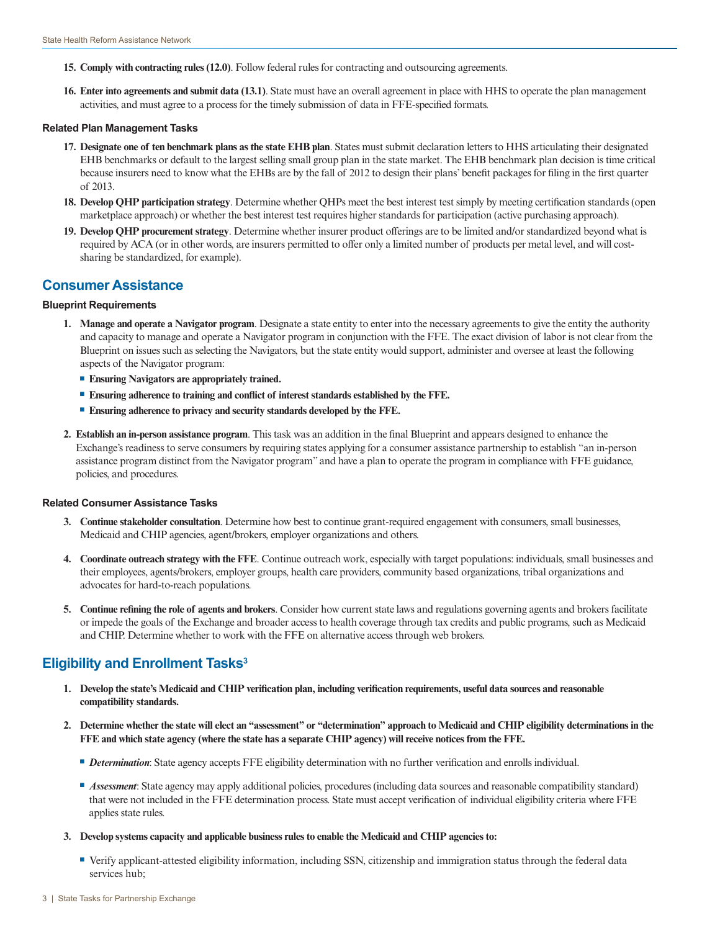- **15. Comply with contracting rules (12.0)**. Follow federal rules for contracting and outsourcing agreements.
- **16. Enter into agreements and submit data (13.1)**. State must have an overall agreement in place with HHS to operate the plan management activities, and must agree to a process for the timely submission of data in FFE-specified formats.

#### **Related Plan Management Tasks**

- **17. Designate one of ten benchmark plans as the state EHB plan**. States must submit declaration letters to HHS articulating their designated EHB benchmarks or default to the largest selling small group plan in the state market. The EHB benchmark plan decision is time critical because insurers need to know what the EHBs are by the fall of 2012 to design their plans' benefit packages for filing in the first quarter of 2013.
- **18. Develop QHP participation strategy**. Determine whether QHPs meet the best interest test simply by meeting certification standards (open marketplace approach) or whether the best interest test requires higher standards for participation (active purchasing approach).
- **19. Develop QHP procurement strategy**. Determine whether insurer product offerings are to be limited and/or standardized beyond what is required by ACA (or in other words, are insurers permitted to offer only a limited number of products per metal level, and will costsharing be standardized, for example).

## **Consumer Assistance**

### **Blueprint Requirements**

- **1. Manage and operate a Navigator program**. Designate a state entity to enter into the necessary agreements to give the entity the authority and capacity to manage and operate a Navigator program in conjunction with the FFE. The exact division of labor is not clear from the Blueprint on issues such as selecting the Navigators, but the state entity would support, administer and oversee at least the following aspects of the Navigator program:
	- **Ensuring Navigators are appropriately trained.**
	- Ensuring adherence to training and conflict of interest standards established by the FFE.
	- **Ensuring adherence to privacy and security standards developed by the FFE.**
- **2. Establish an in-person assistance program**. This task was an addition in the final Blueprint and appears designed to enhance the Exchange's readiness to serve consumers by requiring states applying for a consumer assistance partnership to establish "an in-person assistance program distinct from the Navigator program" and have a plan to operate the program in compliance with FFE guidance, policies, and procedures.

## **Related Consumer Assistance Tasks**

- **3. Continue stakeholder consultation**. Determine how best to continue grant-required engagement with consumers, small businesses, Medicaid and CHIP agencies, agent/brokers, employer organizations and others.
- **4. Coordinate outreach strategy with the FFE**. Continue outreach work, especially with target populations: individuals, small businesses and their employees, agents/brokers, employer groups, health care providers, community based organizations, tribal organizations and advocates for hard-to-reach populations.
- **5. Continue refining the role of agents and brokers**. Consider how current state laws and regulations governing agents and brokers facilitate or impede the goals of the Exchange and broader access to health coverage through tax credits and public programs, such as Medicaid and CHIP. Determine whether to work with the FFE on alternative access through web brokers.

# Eligibility and Enrollment Tasks<sup>3</sup>

- **1. Develop the state's Medicaid and CHIP verification plan, including verification requirements, useful data sources and reasonable compatibility standards.**
- **2. Determine whether the state will elect an "assessment" or "determination" approach to Medicaid and CHIP eligibility determinations in the FFE and which state agency (where the state has a separate CHIP agency) will receive notices from the FFE.** 
	- **Determination:** State agency accepts FFE eligibility determination with no further verification and enrolls individual.
	- *Assessment***:** State agency may apply additional policies, procedures (including data sources and reasonable compatibility standard) that were not included in the FFE determination process. State must accept verification of individual eligibility criteria where FFE applies state rules.
- **3. Develop systems capacity and applicable business rules to enable the Medicaid and CHIP agencies to:**
	- Verify applicant-attested eligibility information, including SSN, citizenship and immigration status through the federal data services hub;